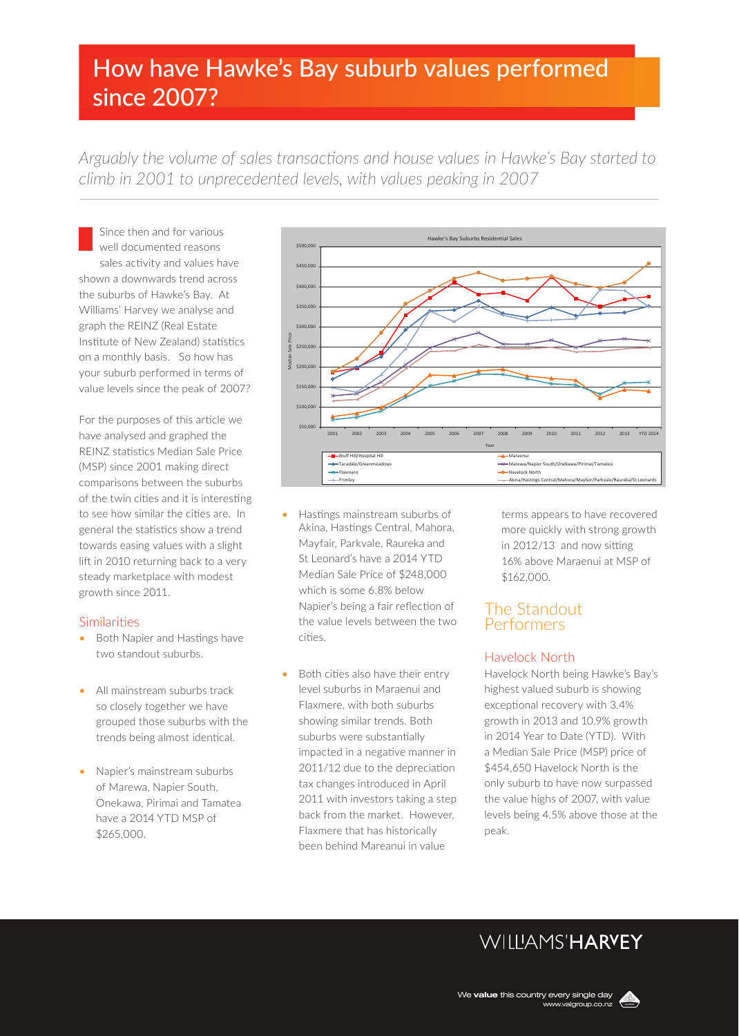# How have Hawke's Bay suburb values performed since 2007?

*Arguably the volume of sales transactions and house values in Hawke's Bay started to climb in 2001 to unprecedented levels, with values peaking in 2007*

Since then and for various well documented reasons sales activity and values have shown a downwards trend across the suburbs of Hawke's Bay. At Williams' Harvey we analyse and graph the REINZ (Real Estate Institute of New Zealand) statistics on a monthly basis. So how has your suburb performed in terms of value levels since the peak of 2007?

For the purposes of this article we have analysed and graphed the REINZ statistics Median Sale Price (MSP) since 2001 making direct comparisons between the suburbs of the twin cities and it is interesting to see how similar the cities are. In general the statistics show a trend towards easing values with a slight lift in 2010 returning back to a very steady marketplace with modest growth since 2011.

#### Similarities

- Both Napier and Hastings have two standout suburbs.
- All mainstream suburbs track so closely together we have grouped those suburbs with the trends being almost identical.
- Napier's mainstream suburbs of Marewa, Napier South, Onekawa, Pirimai and Tamatea have a 2014 YTD MSP of \$265,000.



- Hastings mainstream suburbs of Akina, Hastings Central, Mahora, Mayfair, Parkvale, Raureka and St Leonard's have a 2014 YTD Median Sale Price of \$248,000 which is some 6.8% below Napier's being a fair reflection of the value levels between the two cities.
- Both cities also have their entry level suburbs in Maraenui and Flaxmere, with both suburbs showing similar trends. Both suburbs were substantially impacted in a negative manner in 2011/12 due to the depreciation tax changes introduced in April 2011 with investors taking a step back from the market. However, Flaxmere that has historically been behind Mareanui in value

terms appears to have recovered more quickly with strong growth in 2012/13 and now sitting 16% above Maraenui at MSP of \$162,000.

### The Standout Performers

### Havelock North

Havelock North being Hawke's Bay's highest valued suburb is showing exceptional recovery with 3.4% growth in 2013 and 10.9% growth in 2014 Year to Date (YTD). With a Median Sale Price (MSP) price of \$454,650 Havelock North is the only suburb to have now surpassed the value highs of 2007, with value levels being 4.5% above those at the peak.

# **WILLIAMS'HARYEY**